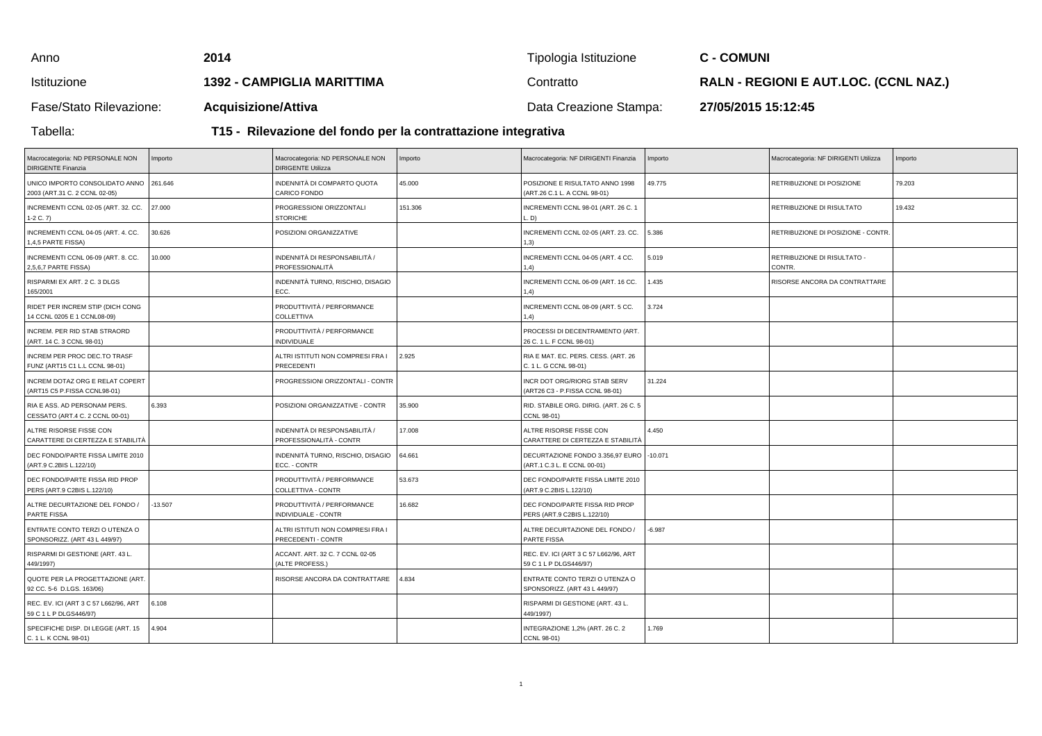| Anno                    | 2014                                                          | Tipologia Istituzione  | <b>C - COMUNI</b>                            |  |  |
|-------------------------|---------------------------------------------------------------|------------------------|----------------------------------------------|--|--|
| Istituzione             | 1392 - CAMPIGLIA MARITTIMA                                    | Contratto              | <b>RALN - REGIONI E AUT.LOC. (CCNL NAZ.)</b> |  |  |
| Fase/Stato Rilevazione: | <b>Acquisizione/Attiva</b>                                    | Data Creazione Stampa: | 27/05/2015 15:12:45                          |  |  |
| Tabella:                | T15 - Rilevazione del fondo per la contrattazione integrativa |                        |                                              |  |  |

## **T15 - Rilevazione del fondo per la contrattazione integrativa**

| Macrocategoria: ND PERSONALE NON<br><b>DIRIGENTE Finanzia</b>   | Importo   | Macrocategoria: ND PERSONALE NON<br><b>DIRIGENTE Utilizza</b> | Importo | Macrocategoria: NF DIRIGENTI Finanzia                                     | Importo  | Macrocategoria: NF DIRIGENTI Utilizza | Importo |
|-----------------------------------------------------------------|-----------|---------------------------------------------------------------|---------|---------------------------------------------------------------------------|----------|---------------------------------------|---------|
| UNICO IMPORTO CONSOLIDATO ANNO<br>2003 (ART.31 C. 2 CCNL 02-05) | 261.646   | INDENNITÀ DI COMPARTO QUOTA<br>CARICO FONDO                   | 45.000  | POSIZIONE E RISULTATO ANNO 1998<br>(ART.26 C.1 L. A CCNL 98-01)           | 49.775   | RETRIBUZIONE DI POSIZIONE             | 79.203  |
| INCREMENTI CCNL 02-05 (ART. 32. CC.<br>$1-2 C. 7$               | 27.000    | PROGRESSIONI ORIZZONTALI<br><b>STORICHE</b>                   | 151.306 | INCREMENTI CCNL 98-01 (ART. 26 C. 1<br>D)                                 |          | RETRIBUZIONE DI RISULTATO             | 19.432  |
| INCREMENTI CCNL 04-05 (ART. 4. CC.<br>1,4,5 PARTE FISSA)        | 30.626    | POSIZIONI ORGANIZZATIVE                                       |         | INCREMENTI CCNL 02-05 (ART. 23. CC.<br>(3)                                | 5.386    | RETRIBUZIONE DI POSIZIONE - CONTR     |         |
| INCREMENTI CCNL 06-09 (ART. 8. CC.<br>2,5,6,7 PARTE FISSA)      | 10.000    | INDENNITÀ DI RESPONSABILITÀ /<br>PROFESSIONALITÀ              |         | INCREMENTI CCNL 04-05 (ART. 4 CC.<br>(4, 4)                               | 5.019    | RETRIBUZIONE DI RISULTATO -<br>CONTR. |         |
| RISPARMI EX ART. 2 C. 3 DLGS<br>165/2001                        |           | INDENNITÀ TURNO, RISCHIO, DISAGIO<br>ECC.                     |         | NCREMENTI CCNL 06-09 (ART. 16 CC.<br>(4, 4)                               | 1.435    | RISORSE ANCORA DA CONTRATTARE         |         |
| RIDET PER INCREM STIP (DICH CONG<br>14 CCNL 0205 E 1 CCNL08-09) |           | PRODUTTIVITÀ / PERFORMANCE<br>COLLETTIVA                      |         | INCREMENTI CCNL 08-09 (ART. 5 CC.<br>(1,4)                                | 3.724    |                                       |         |
| INCREM. PER RID STAB STRAORD<br>(ART. 14 C. 3 CCNL 98-01)       |           | PRODUTTIVITÀ / PERFORMANCE<br><b>INDIVIDUALE</b>              |         | PROCESSI DI DECENTRAMENTO (ART.<br>26 C. 1 L. F CCNL 98-01)               |          |                                       |         |
| INCREM PER PROC DEC.TO TRASF<br>FUNZ (ART15 C1 L.L CCNL 98-01)  |           | ALTRI ISTITUTI NON COMPRESI FRA I<br>PRECEDENTI               | 2.925   | RIA E MAT. EC. PERS. CESS. (ART. 26<br>C. 1 L. G CCNL 98-01)              |          |                                       |         |
| INCREM DOTAZ ORG E RELAT COPERT<br>(ART15 C5 P.FISSA CCNL98-01) |           | PROGRESSIONI ORIZZONTALI - CONTR                              |         | INCR DOT ORG/RIORG STAB SERV<br>(ART26 C3 - P.FISSA CCNL 98-01)           | 31.224   |                                       |         |
| RIA E ASS. AD PERSONAM PERS.<br>CESSATO (ART.4 C. 2 CCNL 00-01) | 6.393     | POSIZIONI ORGANIZZATIVE - CONTR                               | 35.900  | RID. STABILE ORG. DIRIG. (ART. 26 C. 5<br>CCNL 98-01)                     |          |                                       |         |
| ALTRE RISORSE FISSE CON<br>CARATTERE DI CERTEZZA E STABILITÀ    |           | INDENNITÀ DI RESPONSABILITÀ /<br>PROFESSIONALITÀ - CONTR      | 17.008  | ALTRE RISORSE FISSE CON<br>CARATTERE DI CERTEZZA E STABILITÀ              | 4.450    |                                       |         |
| DEC FONDO/PARTE FISSA LIMITE 2010<br>(ART.9 C.2BIS L.122/10)    |           | INDENNITÀ TURNO, RISCHIO, DISAGIO<br>ECC. - CONTR             | 64.661  | DECURTAZIONE FONDO 3.356,97 EURO   -10.071<br>(ART.1 C.3 L. E CCNL 00-01) |          |                                       |         |
| DEC FONDO/PARTE FISSA RID PROP<br>PERS (ART.9 C2BIS L.122/10)   |           | PRODUTTIVITÀ / PERFORMANCE<br>COLLETTIVA - CONTR              | 53.673  | DEC FONDO/PARTE FISSA LIMITE 2010<br>ART.9 C.2BIS L.122/10)               |          |                                       |         |
| ALTRE DECURTAZIONE DEL FONDO /<br>PARTE FISSA                   | $-13.507$ | PRODUTTIVITÀ / PERFORMANCE<br>INDIVIDUALE - CONTR             | 16.682  | DEC FONDO/PARTE FISSA RID PROP<br>PERS (ART.9 C2BIS L.122/10)             |          |                                       |         |
| ENTRATE CONTO TERZI O UTENZA O<br>SPONSORIZZ. (ART 43 L 449/97) |           | ALTRI ISTITUTI NON COMPRESI FRA I<br>PRECEDENTI - CONTR       |         | ALTRE DECURTAZIONE DEL FONDO /<br>PARTE FISSA                             | $-6.987$ |                                       |         |
| RISPARMI DI GESTIONE (ART. 43 L.<br>449/1997)                   |           | ACCANT. ART. 32 C. 7 CCNL 02-05<br>(ALTE PROFESS.)            |         | REC. EV. ICI (ART 3 C 57 L662/96, ART<br>59 C 1 L P DLGS446/97)           |          |                                       |         |
| QUOTE PER LA PROGETTAZIONE (ART.<br>92 CC. 5-6 D.LGS. 163/06)   |           | RISORSE ANCORA DA CONTRATTARE                                 | 4.834   | ENTRATE CONTO TERZI O UTENZA O<br>SPONSORIZZ. (ART 43 L 449/97)           |          |                                       |         |
| REC. EV. ICI (ART 3 C 57 L662/96, ART<br>59 C 1 L P DLGS446/97) | 6.108     |                                                               |         | RISPARMI DI GESTIONE (ART. 43 L.<br>449/1997)                             |          |                                       |         |
| SPECIFICHE DISP. DI LEGGE (ART. 15<br>C. 1 L. K CCNL 98-01)     | 4.904     |                                                               |         | INTEGRAZIONE 1,2% (ART. 26 C. 2<br>CCNL 98-01)                            | 1.769    |                                       |         |